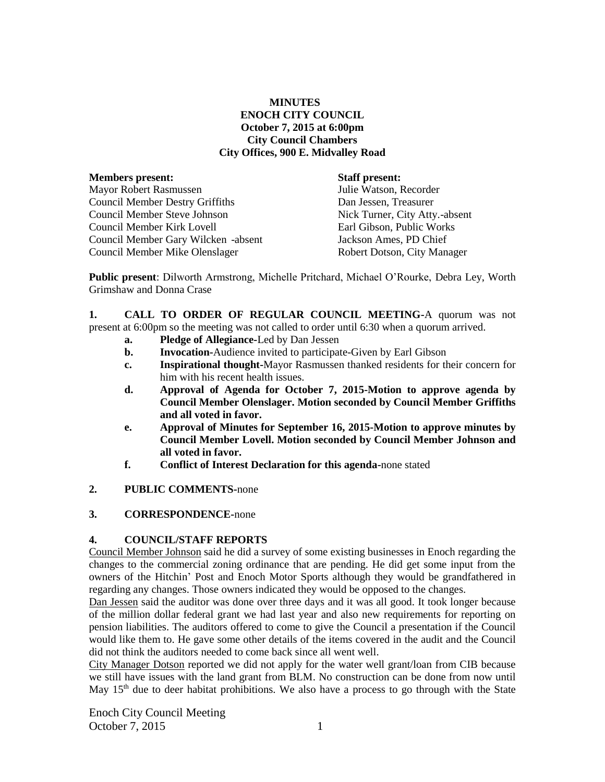## **MINUTES ENOCH CITY COUNCIL October 7, 2015 at 6:00pm City Council Chambers City Offices, 900 E. Midvalley Road**

| <b>Members present:</b>                |
|----------------------------------------|
| <b>Mayor Robert Rasmussen</b>          |
| <b>Council Member Destry Griffiths</b> |
| Council Member Steve Johnson           |
| Council Member Kirk Lovell             |
| Council Member Gary Wilcken -absent    |
| Council Member Mike Olenslager         |

**Staff present:** 

Julie Watson, Recorder Dan Jessen, Treasurer Nick Turner, City Atty.-absent Earl Gibson, Public Works Jackson Ames, PD Chief Robert Dotson, City Manager

**Public present**: Dilworth Armstrong, Michelle Pritchard, Michael O'Rourke, Debra Ley, Worth Grimshaw and Donna Crase

**1. CALL TO ORDER OF REGULAR COUNCIL MEETING-**A quorum was not present at 6:00pm so the meeting was not called to order until 6:30 when a quorum arrived.

- **a. Pledge of Allegiance-**Led by Dan Jessen
- **b. Invocation-**Audience invited to participate-Given by Earl Gibson
- **c. Inspirational thought-**Mayor Rasmussen thanked residents for their concern for him with his recent health issues.
- **d. Approval of Agenda for October 7, 2015-Motion to approve agenda by Council Member Olenslager. Motion seconded by Council Member Griffiths and all voted in favor.**
- **e. Approval of Minutes for September 16, 2015-Motion to approve minutes by Council Member Lovell. Motion seconded by Council Member Johnson and all voted in favor.**
- **f. Conflict of Interest Declaration for this agenda-**none stated
- **2. PUBLIC COMMENTS-**none
- **3. CORRESPONDENCE-**none

## **4. COUNCIL/STAFF REPORTS**

Council Member Johnson said he did a survey of some existing businesses in Enoch regarding the changes to the commercial zoning ordinance that are pending. He did get some input from the owners of the Hitchin' Post and Enoch Motor Sports although they would be grandfathered in regarding any changes. Those owners indicated they would be opposed to the changes.

Dan Jessen said the auditor was done over three days and it was all good. It took longer because of the million dollar federal grant we had last year and also new requirements for reporting on pension liabilities. The auditors offered to come to give the Council a presentation if the Council would like them to. He gave some other details of the items covered in the audit and the Council did not think the auditors needed to come back since all went well.

City Manager Dotson reported we did not apply for the water well grant/loan from CIB because we still have issues with the land grant from BLM. No construction can be done from now until May  $15<sup>th</sup>$  due to deer habitat prohibitions. We also have a process to go through with the State

Enoch City Council Meeting October 7, 2015 1